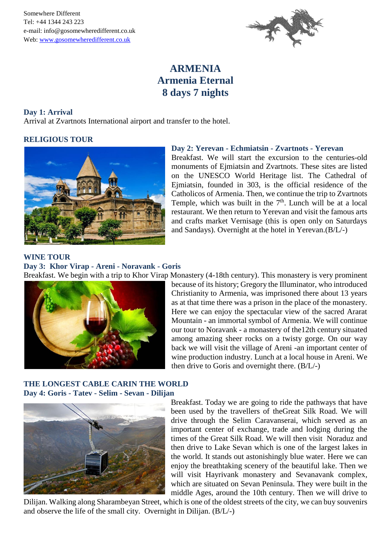Somewhere Different Tel: +44 1344 243 223 e-mail: info@gosomewheredifferent.co.uk Web: www.gosomewheredifferent.co.uk



# **ARMENIA Armenia Eternal 8 days 7 nights**

### **Day 1: Arrival**

Arrival at Zvartnots International airport and transfer to the hotel.

# **RELIGIOUS TOUR**



# **Day 2: Yerevan - Echmiatsin - Zvartnots - Yerevan**

Breakfast. We will start the excursion to the centuries-old monuments of Ejmiatsin and Zvartnots. These sites are listed on the UNESCO World Heritage list. The Cathedral of Ejmiatsin, founded in 303, is the official residence of the Catholicos of Armenia. Then, we continue the trip to Zvartnots Temple, which was built in the  $7<sup>th</sup>$ . Lunch will be at a local restaurant. We then return to Yerevan and visit the famous arts and crafts market Vernisage (this is open only on Saturdays and Sandays). Overnight at the hotel in Yerevan.(B/L/-)

### **WINE TOUR**

**Day 3: Khor Virap - Areni - Noravank - Goris**



Breakfast. We begin with a trip to Khor Virap Monastery (4-18th century). This monastery is very prominent because of its history; Gregory the Illuminator, who introduced Christianity to Armenia, was imprisoned there about 13 years as at that time there was a prison in the place of the monastery. Here we can enjoy the spectacular view of the sacred Ararat Mountain - an immortal symbol of Armenia. We will continue our tour to Noravank - a monastery of the12th century situated among amazing sheer rocks on a twisty gorge. On our way back we will visit the village of Areni -an important center of wine production industry. Lunch at a local house in Areni. We then drive to Goris and overnight there. (B/L/-)

# **THE LONGEST CABLE CARIN THE WORLD Day 4: Goris - Tatev - Selim - Sevan - Dilijan**



Breakfast. Today we are going to ride the pathways that have been used by the travellers of theGreat Silk Road. We will drive through the Selim Caravanserai, which served as an important center of exchange, trade and lodging during the times of the Great Silk Road. We will then visit Noraduz and then drive to Lake Sevan which is one of the largest lakes in the world. It stands out astonishingly blue water. Here we can enjoy the breathtaking scenery of the beautiful lake. Then we will visit Hayrivank monastery and Sevanavank complex, which are situated on Sevan Peninsula. They were built in the middle Ages, around the 10th century. Then we will drive to

Dilijan. Walking along Sharambeyan Street, which is one of the oldest streets of the city, we can buy souvenirs and observe the life of the small city. Overnight in Dilijan. (B/L/-)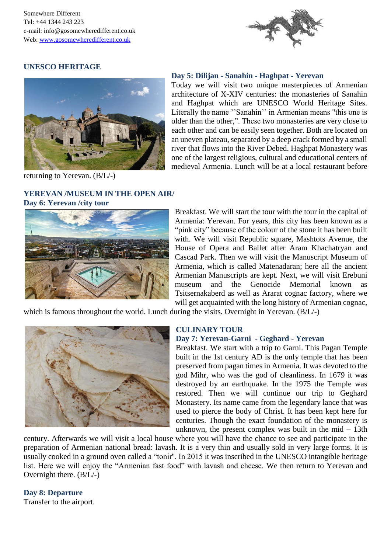Somewhere Different Tel: +44 1344 243 223 e-mail: info@gosomewheredifferent.co.uk Web: www.gosomewheredifferent.co.uk



## **UNESCO HERITAGE**



returning to Yerevan. (B/L/-)

### **YEREVAN /MUSEUM IN THE OPEN AIR/ Day 6: Yerevan /city tour**

#### **Day 5: Dilijan - Sanahin - Haghpat - Yerevan**

Today we will visit two unique masterpieces of Armenian architecture of X-XIV centuries: the monasteries of Sanahin and Haghpat which are UNESCO World Heritage Sites. Literally the name ''Sanahin'' in Armenian means "this one is older than the other,". These two monasteries are very close to each other and can be easily seen together. Both are located on an uneven plateau, separated by a deep crack formed by a small river that flows into the River Debed. Haghpat Monastery was one of the largest religious, cultural and educational centers of medieval Armenia. Lunch will be at a local restaurant before



Breakfast. We will start the tour with the tour in the capital of Armenia: Yerevan. For years, this city has been known as a "pink city" because of the colour of the stone it has been built with. We will visit Republic square, Mashtots Avenue, the House of Opera and Ballet after Aram Khachatryan and Cascad Park. Then we will visit the Manuscript Museum of Armenia, which is called Matenadaran; here all the ancient Armenian Manuscripts are kept. Next, we will visit Erebuni museum and the Genocide Memorial known as Tsitsernakaberd as well as Ararat cognac factory, where we will get acquainted with the long history of Armenian cognac,

which is famous throughout the world. Lunch during the visits. Overnight in Yerevan. (B/L/-)



#### **CULINARY TOUR**

# **Day 7: Yerevan-Garni - Geghard - Yerevan**

Breakfast. We start with a trip to Garni. This Pagan Temple built in the 1st century AD is the only temple that has been preserved from pagan times in Armenia. It was devoted to the god Mihr, who was the god of cleanliness. In 1679 it was destroyed by an earthquake. In the 1975 the Temple was restored. Then we will continue our trip to Geghard Monastery. Its name came from the legendary lance that was used to pierce the body of Christ. It has been kept here for centuries. Though the exact foundation of the monastery is unknown, the present complex was built in the mid  $-13$ th

century. Afterwards we will visit a local house where you will have the chance to see and participate in the preparation of Armenian national bread: lavash. It is a very thin and usually sold in very large forms. It is usually cooked in a ground oven called a "tonir''. In 2015 it was inscribed in the UNESCO intangible heritage list. Here we will enjoy the "Armenian fast food" with lavash and cheese. We then return to Yerevan and Overnight there. (B/L/-)

### **Day 8: Departure**

Transfer to the airport.